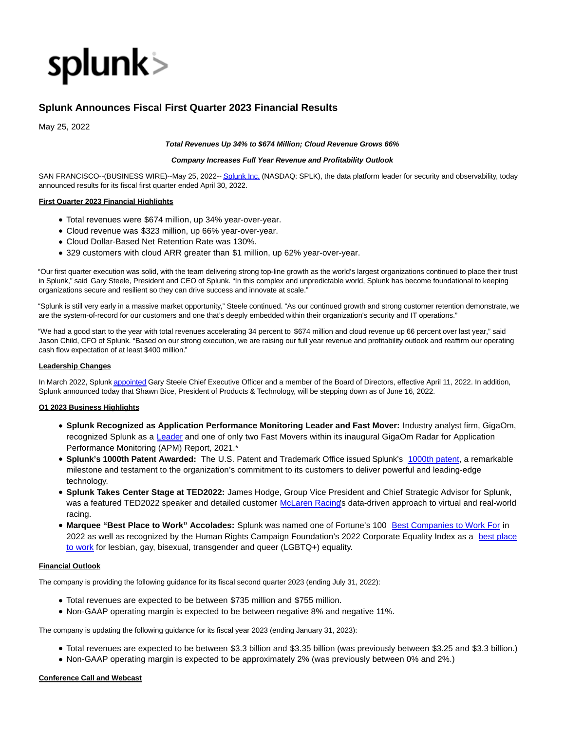

# **Splunk Announces Fiscal First Quarter 2023 Financial Results**

May 25, 2022

### **Total Revenues Up 34% to \$674 Million; Cloud Revenue Grows 66%**

### **Company Increases Full Year Revenue and Profitability Outlook**

SAN FRANCISCO--(BUSINESS WIRE)--May 25, 2022-[- Splunk Inc. \(](https://cts.businesswire.com/ct/CT?id=smartlink&url=http%3A%2F%2Fwww.splunk.com%2F&esheet=52730956&newsitemid=20220525005746&lan=en-US&anchor=Splunk+Inc.&index=1&md5=fac0fcfe6bc3aa7d4763a63a07803afe)NASDAQ: SPLK), the data platform leader for security and observability, today announced results for its fiscal first quarter ended April 30, 2022.

### **First Quarter 2023 Financial Highlights**

- Total revenues were \$674 million, up 34% year-over-year.
- Cloud revenue was \$323 million, up 66% year-over-year.
- Cloud Dollar-Based Net Retention Rate was 130%.
- 329 customers with cloud ARR greater than \$1 million, up 62% year-over-year.

"Our first quarter execution was solid, with the team delivering strong top-line growth as the world's largest organizations continued to place their trust in Splunk," said Gary Steele, President and CEO of Splunk. "In this complex and unpredictable world, Splunk has become foundational to keeping organizations secure and resilient so they can drive success and innovate at scale."

"Splunk is still very early in a massive market opportunity," Steele continued. "As our continued growth and strong customer retention demonstrate, we are the system-of-record for our customers and one that's deeply embedded within their organization's security and IT operations."

"We had a good start to the year with total revenues accelerating 34 percent to \$674 million and cloud revenue up 66 percent over last year," said Jason Child, CFO of Splunk. "Based on our strong execution, we are raising our full year revenue and profitability outlook and reaffirm our operating cash flow expectation of at least \$400 million."

### **Leadership Changes**

In March 2022, Splun[k appointed](https://cts.businesswire.com/ct/CT?id=smartlink&url=https%3A%2F%2Fwww.splunk.com%2Fen_us%2Fnewsroom%2Fpress-releases%2F2022%2Fsplunk-names-gary-steele-chief-executive-officer.html&esheet=52730956&newsitemid=20220525005746&lan=en-US&anchor=appointed&index=2&md5=ddb67dd4726e061f55be7136347375e2) Gary Steele Chief Executive Officer and a member of the Board of Directors, effective April 11, 2022. In addition, Splunk announced today that Shawn Bice, President of Products & Technology, will be stepping down as of June 16, 2022.

### **Q1 2023 Business Highlights**

- **Splunk Recognized as Application Performance Monitoring Leader and Fast Mover:** Industry analyst firm, GigaOm, recognized Splunk as a [Leader a](https://cts.businesswire.com/ct/CT?id=smartlink&url=https%3A%2F%2Fwww.splunk.com%2Fen_us%2Fnewsroom%2Fpress-releases%2F2022%2Fsplunk-named-application-performance-monitoring-leader-and-fast-mover.html&esheet=52730956&newsitemid=20220525005746&lan=en-US&anchor=Leader&index=3&md5=fe5f7d7f775413a45c5a29724647814e)nd one of only two Fast Movers within its inaugural GigaOm Radar for Application Performance Monitoring (APM) Report, 2021.\*
- **Splunk's 1000th Patent Awarded:** The U.S. Patent and Trademark Office issued Splunk's [1000th patent,](https://cts.businesswire.com/ct/CT?id=smartlink&url=https%3A%2F%2Fwww.splunk.com%2Fen_us%2Fblog%2Fleadership%2Fbuilding-an-enduring-company-one-patent-at-a-time.html&esheet=52730956&newsitemid=20220525005746&lan=en-US&anchor=1000th+patent&index=4&md5=aeb525cf5b6b1c9513be99522bc3d9cf) a remarkable milestone and testament to the organization's commitment to its customers to deliver powerful and leading-edge technology.
- **Splunk Takes Center Stage at TED2022:** James Hodge, Group Vice President and Chief Strategic Advisor for Splunk, was a featured TED2022 speaker and detailed customer [McLaren Racing's](https://cts.businesswire.com/ct/CT?id=smartlink&url=https%3A%2F%2Fwww.splunk.com%2Fen_us%2Fblog%2Fleadership%2Fted2022-esports-and-data-have-created-a-new-era-of-play-and-access.html&esheet=52730956&newsitemid=20220525005746&lan=en-US&anchor=McLaren+Racing&index=5&md5=ed780ef28a3660dcf11383f9b4fe2b3f) data-driven approach to virtual and real-world racing.
- **Marquee "Best Place to Work" Accolades:** Splunk was named one of Fortune's 100 [Best Companies to Work For i](https://cts.businesswire.com/ct/CT?id=smartlink&url=https%3A%2F%2Fwww.splunk.com%2Fen_us%2Fnewsroom%2Fpress-releases%2F2022%2Ffortune-names-splunk-to-the-100-best-companies-to-work-for-list-for-the-second-consecutive-year.html&esheet=52730956&newsitemid=20220525005746&lan=en-US&anchor=Best+Companies+to+Work+For&index=6&md5=51b212bebede18a42cd28de48e68d19b)n 2022 as well as recognized by the Human Rights Campaign Foundation's 2022 Corporate Equality Index as a [best place](https://cts.businesswire.com/ct/CT?id=smartlink&url=https%3A%2F%2Fwww.splunk.com%2Fen_us%2Fnewsroom%2Fpress-releases%2F2022%2Fsplunk-named-best-place-to-work-for-lgbtq-equality-for-second-consecutive-year.html&esheet=52730956&newsitemid=20220525005746&lan=en-US&anchor=best+place+to+work&index=7&md5=79a4cf6f2bc7ed5668627446f5bab6ee) to work for lesbian, gay, bisexual, transgender and queer (LGBTQ+) equality.

### **Financial Outlook**

The company is providing the following guidance for its fiscal second quarter 2023 (ending July 31, 2022):

- Total revenues are expected to be between \$735 million and \$755 million.
- Non-GAAP operating margin is expected to be between negative 8% and negative 11%.

The company is updating the following guidance for its fiscal year 2023 (ending January 31, 2023):

- Total revenues are expected to be between \$3.3 billion and \$3.35 billion (was previously between \$3.25 and \$3.3 billion.)
- Non-GAAP operating margin is expected to be approximately 2% (was previously between 0% and 2%.)

### **Conference Call and Webcast**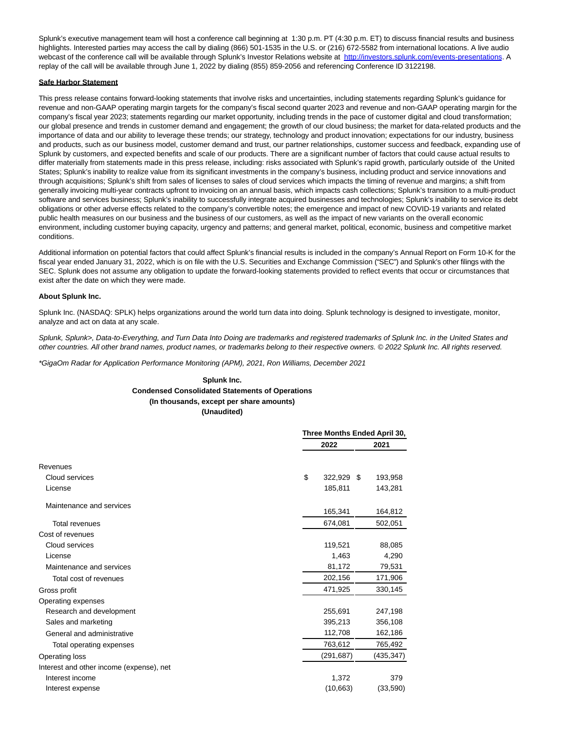Splunk's executive management team will host a conference call beginning at 1:30 p.m. PT (4:30 p.m. ET) to discuss financial results and business highlights. Interested parties may access the call by dialing (866) 501-1535 in the U.S. or (216) 672-5582 from international locations. A live audio webcast of the conference call will be available through Splunk's Investor Relations website at [http://investors.splunk.com/events-presentations.](https://cts.businesswire.com/ct/CT?id=smartlink&url=http%3A%2F%2Finvestors.splunk.com%2Fevents-presentations&esheet=52730956&newsitemid=20220525005746&lan=en-US&anchor=http%3A%2F%2Finvestors.splunk.com%2Fevents-presentations&index=8&md5=3858a213bab2153e13e2de19cb8c483e) A replay of the call will be available through June 1, 2022 by dialing (855) 859-2056 and referencing Conference ID 3122198.

### **Safe Harbor Statement**

This press release contains forward-looking statements that involve risks and uncertainties, including statements regarding Splunk's guidance for revenue and non-GAAP operating margin targets for the company's fiscal second quarter 2023 and revenue and non-GAAP operating margin for the company's fiscal year 2023; statements regarding our market opportunity, including trends in the pace of customer digital and cloud transformation; our global presence and trends in customer demand and engagement; the growth of our cloud business; the market for data-related products and the importance of data and our ability to leverage these trends; our strategy, technology and product innovation; expectations for our industry, business and products, such as our business model, customer demand and trust, our partner relationships, customer success and feedback, expanding use of Splunk by customers, and expected benefits and scale of our products. There are a significant number of factors that could cause actual results to differ materially from statements made in this press release, including: risks associated with Splunk's rapid growth, particularly outside of the United States; Splunk's inability to realize value from its significant investments in the company's business, including product and service innovations and through acquisitions; Splunk's shift from sales of licenses to sales of cloud services which impacts the timing of revenue and margins; a shift from generally invoicing multi-year contracts upfront to invoicing on an annual basis, which impacts cash collections; Splunk's transition to a multi-product software and services business; Splunk's inability to successfully integrate acquired businesses and technologies; Splunk's inability to service its debt obligations or other adverse effects related to the company's convertible notes; the emergence and impact of new COVID-19 variants and related public health measures on our business and the business of our customers, as well as the impact of new variants on the overall economic environment, including customer buying capacity, urgency and patterns; and general market, political, economic, business and competitive market conditions.

Additional information on potential factors that could affect Splunk's financial results is included in the company's Annual Report on Form 10-K for the fiscal year ended January 31, 2022, which is on file with the U.S. Securities and Exchange Commission ("SEC") and Splunk's other filings with the SEC. Splunk does not assume any obligation to update the forward-looking statements provided to reflect events that occur or circumstances that exist after the date on which they were made.

### **About Splunk Inc.**

Splunk Inc. (NASDAQ: SPLK) helps organizations around the world turn data into doing. Splunk technology is designed to investigate, monitor, analyze and act on data at any scale.

Splunk, Splunk>, Data-to-Everything, and Turn Data Into Doing are trademarks and registered trademarks of Splunk Inc. in the United States and other countries. All other brand names, product names, or trademarks belong to their respective owners. © 2022 Splunk Inc. All rights reserved.

\*GigaOm Radar for Application Performance Monitoring (APM), 2021, Ron Williams, December 2021

### **Splunk Inc. Condensed Consolidated Statements of Operations (In thousands, except per share amounts) (Unaudited)**

|                                          | Three Months Ended April 30, |            |  |  |  |  |
|------------------------------------------|------------------------------|------------|--|--|--|--|
|                                          | 2022                         | 2021       |  |  |  |  |
| Revenues                                 |                              |            |  |  |  |  |
| Cloud services                           | \$<br>322,929<br>\$          | 193,958    |  |  |  |  |
| License                                  | 185,811                      | 143,281    |  |  |  |  |
| Maintenance and services                 | 165,341                      | 164,812    |  |  |  |  |
| Total revenues                           | 674,081                      | 502,051    |  |  |  |  |
| Cost of revenues                         |                              |            |  |  |  |  |
| Cloud services                           | 119,521                      | 88,085     |  |  |  |  |
| License                                  | 1,463                        | 4,290      |  |  |  |  |
| Maintenance and services                 | 81,172                       | 79,531     |  |  |  |  |
| Total cost of revenues                   | 202,156                      | 171,906    |  |  |  |  |
| Gross profit                             | 471,925                      | 330,145    |  |  |  |  |
| Operating expenses                       |                              |            |  |  |  |  |
| Research and development                 | 255,691                      | 247,198    |  |  |  |  |
| Sales and marketing                      | 395,213                      | 356,108    |  |  |  |  |
| General and administrative               | 112,708                      | 162,186    |  |  |  |  |
| Total operating expenses                 | 763,612                      | 765,492    |  |  |  |  |
| Operating loss                           | (291, 687)                   | (435, 347) |  |  |  |  |
| Interest and other income (expense), net |                              |            |  |  |  |  |
| Interest income                          | 1,372                        | 379        |  |  |  |  |
| Interest expense                         | (10,663)                     | (33,590)   |  |  |  |  |
|                                          |                              |            |  |  |  |  |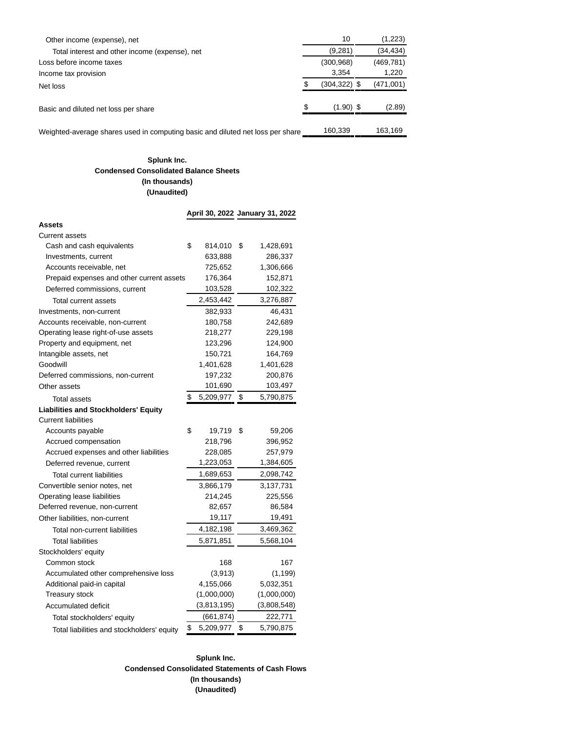| Other income (expense), net                                                    |   | 10           | (1,223)   |
|--------------------------------------------------------------------------------|---|--------------|-----------|
| Total interest and other income (expense), net                                 |   | (9,281)      | (34,434)  |
| Loss before income taxes                                                       |   | (300,968)    | (469,781) |
| Income tax provision                                                           |   | 3.354        | 1,220     |
| Net loss                                                                       | S | (304,322) \$ | (471,001) |
| Basic and diluted net loss per share                                           | S | $(1.90)$ \$  | (2.89)    |
|                                                                                |   |              |           |
| Weighted-average shares used in computing basic and diluted net loss per share |   | 160,339      | 163,169   |

## **Splunk Inc. Condensed Consolidated Balance Sheets (In thousands) (Unaudited)**

|                                             |                 | April 30, 2022 January 31, 2022 |
|---------------------------------------------|-----------------|---------------------------------|
| <b>Assets</b>                               |                 |                                 |
| <b>Current assets</b>                       |                 |                                 |
| Cash and cash equivalents                   | \$<br>814,010   | \$<br>1,428,691                 |
| Investments, current                        | 633,888         | 286,337                         |
| Accounts receivable, net                    | 725,652         | 1,306,666                       |
| Prepaid expenses and other current assets   | 176,364         | 152,871                         |
| Deferred commissions, current               | 103,528         | 102,322                         |
| Total current assets                        | 2,453,442       | 3,276,887                       |
| Investments, non-current                    | 382,933         | 46,431                          |
| Accounts receivable, non-current            | 180,758         | 242,689                         |
| Operating lease right-of-use assets         | 218,277         | 229,198                         |
| Property and equipment, net                 | 123,296         | 124,900                         |
| Intangible assets, net                      | 150,721         | 164,769                         |
| Goodwill                                    | 1,401,628       | 1,401,628                       |
| Deferred commissions, non-current           | 197,232         | 200,876                         |
| Other assets                                | 101,690         | 103,497                         |
| <b>Total assets</b>                         | \$<br>5,209,977 | \$<br>5,790,875                 |
| <b>Liabilities and Stockholders' Equity</b> |                 |                                 |
| <b>Current liabilities</b>                  |                 |                                 |
| Accounts payable                            | \$<br>19,719    | \$<br>59,206                    |
| Accrued compensation                        | 218,796         | 396,952                         |
| Accrued expenses and other liabilities      | 228,085         | 257,979                         |
| Deferred revenue, current                   | 1,223,053       | 1,384,605                       |
| <b>Total current liabilities</b>            | 1,689,653       | 2,098,742                       |
| Convertible senior notes, net               | 3,866,179       | 3,137,731                       |
| Operating lease liabilities                 | 214,245         | 225,556                         |
| Deferred revenue, non-current               | 82,657          | 86,584                          |
| Other liabilities, non-current              | 19,117          | 19,491                          |
| Total non-current liabilities               | 4,182,198       | 3,469,362                       |
| <b>Total liabilities</b>                    | 5,871,851       | 5,568,104                       |
| Stockholders' equity                        |                 |                                 |
| Common stock                                | 168             | 167                             |
| Accumulated other comprehensive loss        | (3,913)         | (1, 199)                        |
| Additional paid-in capital                  | 4,155,066       | 5,032,351                       |
| <b>Treasury stock</b>                       | (1,000,000)     | (1,000,000)                     |
| <b>Accumulated deficit</b>                  | (3,813,195)     | (3,808,548)                     |
| Total stockholders' equity                  | (661, 874)      | 222,771                         |
| Total liabilities and stockholders' equity  | \$<br>5,209,977 | \$<br>5,790,875                 |

**Splunk Inc. Condensed Consolidated Statements of Cash Flows (In thousands) (Unaudited)**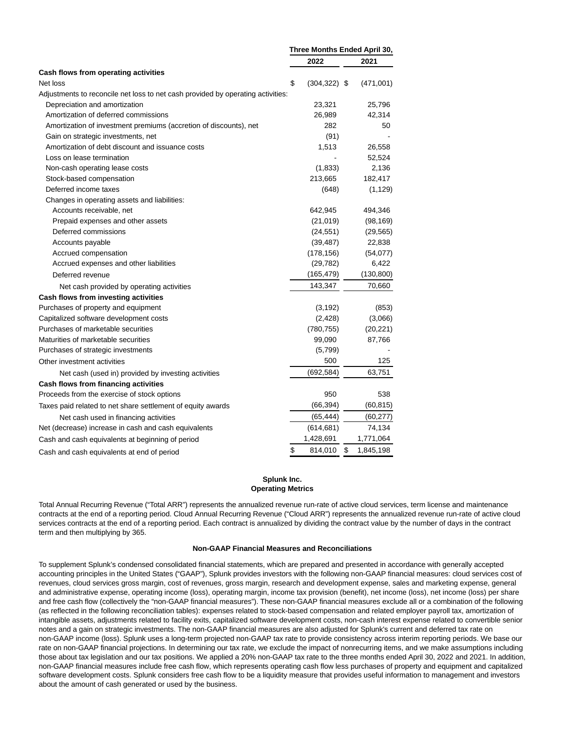|                                                                                 | Three Months Ended April 30, |                 |    |            |  |  |
|---------------------------------------------------------------------------------|------------------------------|-----------------|----|------------|--|--|
|                                                                                 |                              | 2022            |    | 2021       |  |  |
| Cash flows from operating activities                                            |                              |                 |    |            |  |  |
| Net loss                                                                        | \$                           | $(304, 322)$ \$ |    | (471,001)  |  |  |
| Adjustments to reconcile net loss to net cash provided by operating activities: |                              |                 |    |            |  |  |
| Depreciation and amortization                                                   |                              | 23,321          |    | 25,796     |  |  |
| Amortization of deferred commissions                                            |                              | 26,989          |    | 42,314     |  |  |
| Amortization of investment premiums (accretion of discounts), net               |                              | 282             |    | 50         |  |  |
| Gain on strategic investments, net                                              |                              | (91)            |    |            |  |  |
| Amortization of debt discount and issuance costs                                |                              | 1,513           |    | 26,558     |  |  |
| Loss on lease termination                                                       |                              |                 |    | 52,524     |  |  |
| Non-cash operating lease costs                                                  |                              | (1,833)         |    | 2,136      |  |  |
| Stock-based compensation                                                        |                              | 213,665         |    | 182,417    |  |  |
| Deferred income taxes                                                           |                              | (648)           |    | (1, 129)   |  |  |
| Changes in operating assets and liabilities:                                    |                              |                 |    |            |  |  |
| Accounts receivable, net                                                        |                              | 642,945         |    | 494,346    |  |  |
| Prepaid expenses and other assets                                               |                              | (21, 019)       |    | (98, 169)  |  |  |
| Deferred commissions                                                            |                              | (24, 551)       |    | (29, 565)  |  |  |
| Accounts payable                                                                |                              | (39, 487)       |    | 22,838     |  |  |
| Accrued compensation                                                            |                              | (178, 156)      |    | (54, 077)  |  |  |
| Accrued expenses and other liabilities                                          |                              | (29, 782)       |    | 6,422      |  |  |
| Deferred revenue                                                                |                              | (165, 479)      |    | (130, 800) |  |  |
| Net cash provided by operating activities                                       |                              | 143,347         |    | 70,660     |  |  |
| Cash flows from investing activities                                            |                              |                 |    |            |  |  |
| Purchases of property and equipment                                             |                              | (3, 192)        |    | (853)      |  |  |
| Capitalized software development costs                                          |                              | (2, 428)        |    | (3,066)    |  |  |
| Purchases of marketable securities                                              |                              | (780, 755)      |    | (20, 221)  |  |  |
| Maturities of marketable securities                                             |                              | 99,090          |    | 87,766     |  |  |
| Purchases of strategic investments                                              |                              | (5,799)         |    |            |  |  |
| Other investment activities                                                     |                              | 500             |    | 125        |  |  |
| Net cash (used in) provided by investing activities                             |                              | (692, 584)      |    | 63,751     |  |  |
| Cash flows from financing activities                                            |                              |                 |    |            |  |  |
| Proceeds from the exercise of stock options                                     |                              | 950             |    | 538        |  |  |
| Taxes paid related to net share settlement of equity awards                     |                              | (66, 394)       |    | (60, 815)  |  |  |
| Net cash used in financing activities                                           |                              | (65, 444)       |    | (60, 277)  |  |  |
| Net (decrease) increase in cash and cash equivalents                            |                              | (614, 681)      |    | 74,134     |  |  |
| Cash and cash equivalents at beginning of period                                |                              | 1,428,691       |    | 1,771,064  |  |  |
| Cash and cash equivalents at end of period                                      | \$                           | 814,010         | \$ | 1,845,198  |  |  |

#### **Splunk Inc. Operating Metrics**

**Three Months Ended April 30,**

Total Annual Recurring Revenue ("Total ARR") represents the annualized revenue run-rate of active cloud services, term license and maintenance contracts at the end of a reporting period. Cloud Annual Recurring Revenue ("Cloud ARR") represents the annualized revenue run-rate of active cloud services contracts at the end of a reporting period. Each contract is annualized by dividing the contract value by the number of days in the contract term and then multiplying by 365.

### **Non-GAAP Financial Measures and Reconciliations**

To supplement Splunk's condensed consolidated financial statements, which are prepared and presented in accordance with generally accepted accounting principles in the United States ("GAAP"), Splunk provides investors with the following non-GAAP financial measures: cloud services cost of revenues, cloud services gross margin, cost of revenues, gross margin, research and development expense, sales and marketing expense, general and administrative expense, operating income (loss), operating margin, income tax provision (benefit), net income (loss), net income (loss) per share and free cash flow (collectively the "non-GAAP financial measures"). These non-GAAP financial measures exclude all or a combination of the following (as reflected in the following reconciliation tables): expenses related to stock-based compensation and related employer payroll tax, amortization of intangible assets, adjustments related to facility exits, capitalized software development costs, non-cash interest expense related to convertible senior notes and a gain on strategic investments. The non-GAAP financial measures are also adjusted for Splunk's current and deferred tax rate on non-GAAP income (loss). Splunk uses a long-term projected non-GAAP tax rate to provide consistency across interim reporting periods. We base our rate on non-GAAP financial projections. In determining our tax rate, we exclude the impact of nonrecurring items, and we make assumptions including those about tax legislation and our tax positions. We applied a 20% non-GAAP tax rate to the three months ended April 30, 2022 and 2021. In addition, non-GAAP financial measures include free cash flow, which represents operating cash flow less purchases of property and equipment and capitalized software development costs. Splunk considers free cash flow to be a liquidity measure that provides useful information to management and investors about the amount of cash generated or used by the business.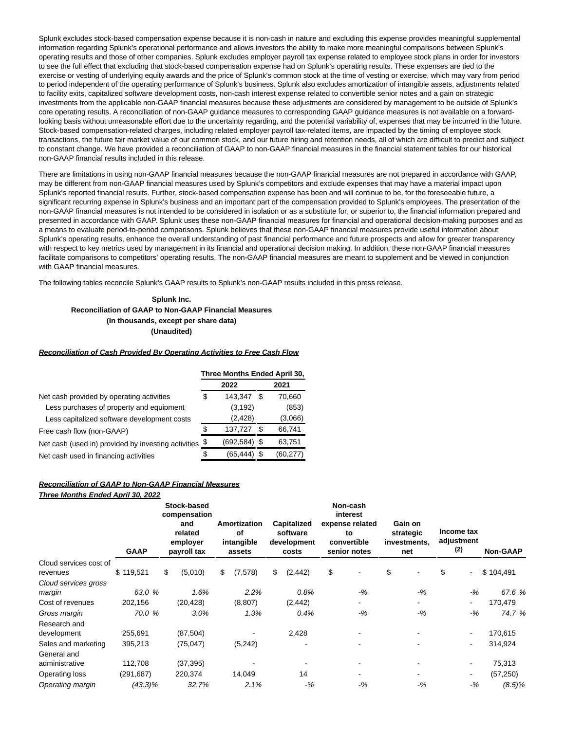Splunk excludes stock-based compensation expense because it is non-cash in nature and excluding this expense provides meaningful supplemental information regarding Splunk's operational performance and allows investors the ability to make more meaningful comparisons between Splunk's operating results and those of other companies. Splunk excludes employer payroll tax expense related to employee stock plans in order for investors to see the full effect that excluding that stock-based compensation expense had on Splunk's operating results. These expenses are tied to the exercise or vesting of underlying equity awards and the price of Splunk's common stock at the time of vesting or exercise, which may vary from period to period independent of the operating performance of Splunk's business. Splunk also excludes amortization of intangible assets, adjustments related to facility exits, capitalized software development costs, non-cash interest expense related to convertible senior notes and a gain on strategic investments from the applicable non-GAAP financial measures because these adjustments are considered by management to be outside of Splunk's core operating results. A reconciliation of non-GAAP guidance measures to corresponding GAAP guidance measures is not available on a forwardlooking basis without unreasonable effort due to the uncertainty regarding, and the potential variability of, expenses that may be incurred in the future. Stock-based compensation-related charges, including related employer payroll tax-related items, are impacted by the timing of employee stock transactions, the future fair market value of our common stock, and our future hiring and retention needs, all of which are difficult to predict and subject to constant change. We have provided a reconciliation of GAAP to non-GAAP financial measures in the financial statement tables for our historical non-GAAP financial results included in this release.

There are limitations in using non-GAAP financial measures because the non-GAAP financial measures are not prepared in accordance with GAAP, may be different from non-GAAP financial measures used by Splunk's competitors and exclude expenses that may have a material impact upon Splunk's reported financial results. Further, stock-based compensation expense has been and will continue to be, for the foreseeable future, a significant recurring expense in Splunk's business and an important part of the compensation provided to Splunk's employees. The presentation of the non-GAAP financial measures is not intended to be considered in isolation or as a substitute for, or superior to, the financial information prepared and presented in accordance with GAAP. Splunk uses these non-GAAP financial measures for financial and operational decision-making purposes and as a means to evaluate period-to-period comparisons. Splunk believes that these non-GAAP financial measures provide useful information about Splunk's operating results, enhance the overall understanding of past financial performance and future prospects and allow for greater transparency with respect to key metrics used by management in its financial and operational decision making. In addition, these non-GAAP financial measures facilitate comparisons to competitors' operating results. The non-GAAP financial measures are meant to supplement and be viewed in conjunction with GAAP financial measures.

The following tables reconcile Splunk's GAAP results to Splunk's non-GAAP results included in this press release.

### **Splunk Inc. Reconciliation of GAAP to Non-GAAP Financial Measures (In thousands, except per share data) (Unaudited)**

#### **Reconciliation of Cash Provided By Operating Activities to Free Cash Flow**

|                                                                   | Three Months Ended April 30, |           |      |           |  |  |  |  |  |
|-------------------------------------------------------------------|------------------------------|-----------|------|-----------|--|--|--|--|--|
|                                                                   |                              | 2022      |      | 2021      |  |  |  |  |  |
| Net cash provided by operating activities                         | S                            | 143.347   | S    | 70,660    |  |  |  |  |  |
| Less purchases of property and equipment                          |                              | (3, 192)  |      | (853)     |  |  |  |  |  |
| Less capitalized software development costs                       |                              | (2, 428)  |      | (3,066)   |  |  |  |  |  |
| Free cash flow (non-GAAP)                                         |                              | 137,727   | \$.  | 66.741    |  |  |  |  |  |
| Net cash (used in) provided by investing activities $\sqrt[5]{ }$ |                              | (692,584) | - \$ | 63,751    |  |  |  |  |  |
| Net cash used in financing activities                             |                              | (65,444   | - \$ | (60, 277) |  |  |  |  |  |

### **Reconciliation of GAAP to Non-GAAP Financial Measures**

#### **Three Months Ended April 30, 2022**

|                        | <b>GAAP</b> | Stock-based<br>compensation<br>and<br>related<br>employer<br>payroll tax | <b>Amortization</b><br>of<br>intangible<br>assets | <b>Capitalized</b><br>software<br>development<br>costs | Non-cash<br>interest<br>expense related<br>to<br>convertible<br>senior notes | Gain on<br>strategic<br>investments,<br>net | Income tax<br>adjustment<br>(2) |                | <b>Non-GAAP</b> |
|------------------------|-------------|--------------------------------------------------------------------------|---------------------------------------------------|--------------------------------------------------------|------------------------------------------------------------------------------|---------------------------------------------|---------------------------------|----------------|-----------------|
| Cloud services cost of |             |                                                                          |                                                   |                                                        |                                                                              |                                             |                                 |                |                 |
| revenues               | \$119,521   | \$<br>(5,010)                                                            | \$<br>(7,578)                                     | \$<br>(2, 442)                                         | \$                                                                           | \$                                          | \$                              | $\sim$         | \$104,491       |
| Cloud services gross   |             |                                                                          |                                                   |                                                        |                                                                              |                                             |                                 |                |                 |
| margin                 | 63.0 %      | 1.6%                                                                     | 2.2%                                              | 0.8%                                                   | $-$ %                                                                        | $-$ %                                       |                                 | $-$ %          | 67.6 %          |
| Cost of revenues       | 202,156     | (20, 428)                                                                | (8,807)                                           | (2, 442)                                               | $\overline{\phantom{0}}$                                                     |                                             |                                 | ٠              | 170,479         |
| Gross margin           | 70.0 %      | 3.0%                                                                     | 1.3%                                              | 0.4%                                                   | $-$ %                                                                        | $-$ %                                       |                                 | $-$ %          | 74.7 %          |
| Research and           |             |                                                                          |                                                   |                                                        |                                                                              |                                             |                                 |                |                 |
| development            | 255,691     | (87, 504)                                                                |                                                   | 2,428                                                  |                                                                              |                                             |                                 | $\blacksquare$ | 170,615         |
| Sales and marketing    | 395,213     | (75, 047)                                                                | (5, 242)                                          |                                                        |                                                                              |                                             |                                 | $\blacksquare$ | 314,924         |
| General and            |             |                                                                          |                                                   |                                                        |                                                                              |                                             |                                 |                |                 |
| administrative         | 112,708     | (37, 395)                                                                |                                                   |                                                        |                                                                              |                                             |                                 | ٠              | 75,313          |
| Operating loss         | (291, 687)  | 220,374                                                                  | 14,049                                            | 14                                                     | ۰.                                                                           | ۰                                           |                                 | $\sim$         | (57, 250)       |
| Operating margin       | $(43.3)\%$  | 32.7%                                                                    | 2.1%                                              | $-$ %                                                  | $-$ %                                                                        | $-$ %                                       |                                 | $-$ %          | $(8.5)\%$       |